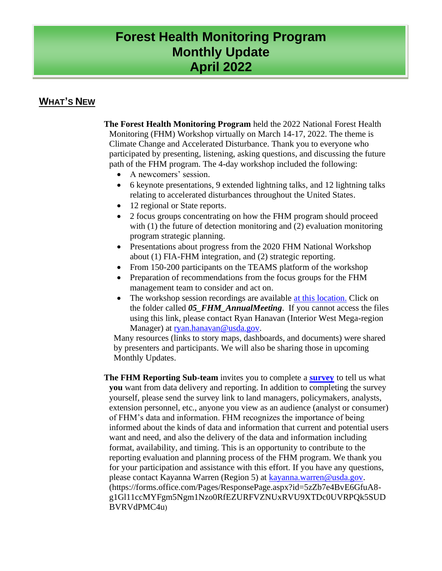# **Forest Health Monitoring Program Monthly Update April 2022**

# **WHAT'S NEW**

**The Forest Health Monitoring Program** held the 2022 National Forest Health Monitoring (FHM) Workshop virtually on March 14-17, 2022. The theme is Climate Change and Accelerated Disturbance. Thank you to everyone who participated by presenting, listening, asking questions, and discussing the future path of the FHM program. The 4-day workshop included the following:

- A newcomers' session.
- 6 keynote presentations, 9 extended lightning talks, and 12 lightning talks relating to accelerated disturbances throughout the United States.
- 12 regional or State reports.
- 2 focus groups concentrating on how the FHM program should proceed with (1) the future of detection monitoring and (2) evaluation monitoring program strategic planning.
- Presentations about progress from the 2020 FHM National Workshop about (1) FIA-FHM integration, and (2) strategic reporting.
- From 150-200 participants on the TEAMS platform of the workshop
- Preparation of recommendations from the focus groups for the FHM management team to consider and act on.
- The workshop session recordings are available [at this location.](https://usfs.box.com/s/3vx8lwxynmifucq8u72z3xd5wi0yob14) Click on the folder called *05\_FHM\_AnnualMeeting*. If you cannot access the files using this link, please contact Ryan Hanavan (Interior West Mega-region Manager) at [ryan.hanavan@usda.gov.](mailto:ryan.hanavan@usda.gov)

Many resources (links to story maps, dashboards, and documents) were shared by presenters and participants. We will also be sharing those in upcoming Monthly Updates.

**The FHM Reporting Sub-team** invites you to complete a **[survey](https://forms.office.com/Pages/ResponsePage.aspx?id=5zZb7e4BvE6GfuA8-g1Gl11ccMYFgm5Ngm1Nzo0RfEZURFVZNUxRVU9XTDc0UVRPQk5SUDBVRVdPMC4u)** to tell us what **you** want from data delivery and reporting. In addition to completing the survey yourself, please send the survey link to land managers, policymakers, analysts, extension personnel, etc., anyone you view as an audience (analyst or consumer) of FHM's data and information. FHM recognizes the importance of being informed about the kinds of data and information that current and potential users want and need, and also the delivery of the data and information including format, availability, and timing. This is an opportunity to contribute to the reporting evaluation and planning process of the FHM program. We thank you for your participation and assistance with this effort. If you have any questions, please contact Kayanna Warren (Region 5) at [kayanna.warren@usda.gov.](mailto:kayanna.warren@usda.gov) [\(https://forms.office.com/Pages/ResponsePage.aspx?id=5zZb7e4BvE6GfuA8](https://forms.office.com/Pages/ResponsePage.aspx?id=5zZb7e4BvE6GfuA8-g1Gl11ccMYFgm5Ngm1Nzo0RfEZURFVZNUxRVU9XTDc0UVRPQk5SUDBVRVdPMC4u) [g1Gl11ccMYFgm5Ngm1Nzo0RfEZURFVZNUxRVU9XTDc0UVRPQk5SUD](https://forms.office.com/Pages/ResponsePage.aspx?id=5zZb7e4BvE6GfuA8-g1Gl11ccMYFgm5Ngm1Nzo0RfEZURFVZNUxRVU9XTDc0UVRPQk5SUDBVRVdPMC4u) [BVRVdPMC4u](https://forms.office.com/Pages/ResponsePage.aspx?id=5zZb7e4BvE6GfuA8-g1Gl11ccMYFgm5Ngm1Nzo0RfEZURFVZNUxRVU9XTDc0UVRPQk5SUDBVRVdPMC4u))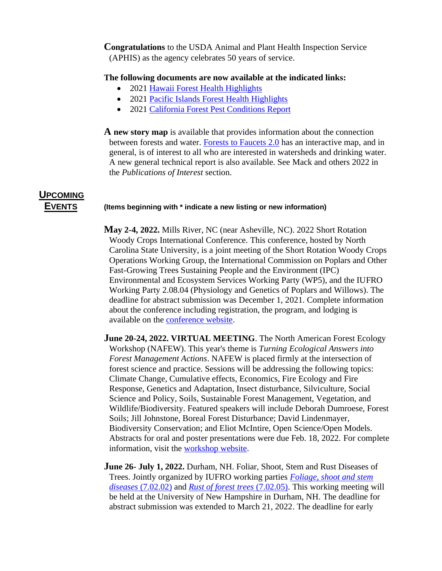**Congratulations** to the USDA Animal and Plant Health Inspection Service (APHIS) as the agency celebrates 50 years of service.

**The following documents are now available at the indicated links:**

- 2021 [Hawaii Forest Health Highlights](https://gcc02.safelinks.protection.outlook.com/?url=https%3A%2F%2Fwww.fs.usda.gov%2FInternet%2FFSE_DOCUMENTS%2Ffseprd1005082.pdf&data=04%7C01%7C%7C15dc9c636849410be28d08da1757c01d%7Ced5b36e701ee4ebc867ee03cfa0d4697%7C0%7C0%7C637847962894978473%7CUnknown%7CTWFpbGZsb3d8eyJWIjoiMC4wLjAwMDAiLCJQIjoiV2luMzIiLCJBTiI6Ik1haWwiLCJXVCI6Mn0%3D%7C3000&sdata=oTxhzxDLjKkynutld6bfmpfgXl1XW7FVTVe5UnJq97A%3D&reserved=0)
- 2021 [Pacific Islands Forest Health Highlights](https://gcc02.safelinks.protection.outlook.com/?url=https%3A%2F%2Fwww.fs.usda.gov%2FInternet%2FFSE_DOCUMENTS%2Ffseprd1006892.pdf&data=04%7C01%7C%7C15dc9c636849410be28d08da1757c01d%7Ced5b36e701ee4ebc867ee03cfa0d4697%7C0%7C0%7C637847962894978473%7CUnknown%7CTWFpbGZsb3d8eyJWIjoiMC4wLjAwMDAiLCJQIjoiV2luMzIiLCJBTiI6Ik1haWwiLCJXVCI6Mn0%3D%7C3000&sdata=3M%2FDPRTS2tmbNcfCKd%2FIwsP%2BlS%2FGKDz1VYz1N%2BCbhDM%3D&reserved=0)
- 2021 [California Forest Pest Conditions Report](https://gcc02.safelinks.protection.outlook.com/?url=https%3A%2F%2Fwww.fs.usda.gov%2FInternet%2FFSE_DOCUMENTS%2Ffseprd1008290.pdf&data=04%7C01%7C%7C15dc9c636849410be28d08da1757c01d%7Ced5b36e701ee4ebc867ee03cfa0d4697%7C0%7C0%7C637847962894978473%7CUnknown%7CTWFpbGZsb3d8eyJWIjoiMC4wLjAwMDAiLCJQIjoiV2luMzIiLCJBTiI6Ik1haWwiLCJXVCI6Mn0%3D%7C3000&sdata=4GU54Hrye4bGx%2BhDo%2FN7IfaYeU%2BN1%2FcacZZyErOWPSg%3D&reserved=0)

**A new story map** is available that provides information about the connection between forests and water. [Forests to Faucets 2.0](https://storymaps.arcgis.com/collections/4e450a6c7ed24f0cbae4abc1c07843b7?item=1) has an interactive map, and in general, is of interest to all who are interested in watersheds and drinking water. A new general technical report is also available. See Mack and others 2022 in the *Publications of Interest* section.

# **UPCOMING**

#### **EVENTS (Items beginning with \* indicate a new listing or new information)**

**May 2-4, 2022.** Mills River, NC (near Asheville, NC). 2022 Short Rotation Woody Crops International Conference. This conference, hosted by North Carolina State University, is a joint meeting of the Short Rotation Woody Crops Operations Working Group, the International Commission on Poplars and Other Fast-Growing Trees Sustaining People and the Environment (IPC) Environmental and Ecosystem Services Working Party (WP5), and the IUFRO Working Party 2.08.04 (Physiology and Genetics of Poplars and Willows). The deadline for abstract submission was December 1, 2021. Complete information about the conference including registration, the program, and lodging is available on the [conference website](https://gcc02.safelinks.protection.outlook.com/?url=https%3A%2F%2Fwoodycrops.wixsite.com%2Fsrwc2022&data=04%7C01%7C%7Cb8358f7fe1fd4ce1742d08d988d59045%7Ced5b36e701ee4ebc867ee03cfa0d4697%7C0%7C0%7C637691273099990141%7CUnknown%7CTWFpbGZsb3d8eyJWIjoiMC4wLjAwMDAiLCJQIjoiV2luMzIiLCJBTiI6Ik1haWwiLCJXVCI6Mn0%3D%7C1000&sdata=4v53zvXTbtGBexvCeDaZcyvPknHCpMxYS0Q0chVv4H0%3D&reserved=0).

**June 20-24, 2022. VIRTUAL MEETING**. The North American Forest Ecology Workshop (NAFEW). This year's theme is *Turning Ecological Answers into Forest Management Actions*. NAFEW is placed firmly at the intersection of forest science and practice. Sessions will be addressing the following topics: Climate Change, Cumulative effects, Economics, Fire Ecology and Fire Response, Genetics and Adaptation, Insect disturbance, Silviculture, Social Science and Policy, Soils, Sustainable Forest Management, Vegetation, and Wildlife/Biodiversity. Featured speakers will include Deborah Dumroese, Forest Soils; Jill Johnstone, Boreal Forest Disturbance; David Lindenmayer, Biodiversity Conservation; and Eliot McIntire, Open Science/Open Models. Abstracts for oral and poster presentations were due Feb. 18, 2022. For complete information, visit the [workshop website.](https://cef-cfr.uqam.ca/nafew2022/)

**June 26- July 1, 2022.** Durham, NH. Foliar, Shoot, Stem and Rust Diseases of Trees. Jointly organized by IUFRO working parties *[Foliage, shoot and stem](https://gcc02.safelinks.protection.outlook.com/?url=https%3A%2F%2Fwww.iufro.org%2Fscience%2Fdivisions%2Fdivision-7%2F70000%2F70200%2F70202%2Factivities%2F&data=04%7C01%7C%7C68796ab8934e4db9916108d9a83fa6d6%7Ced5b36e701ee4ebc867ee03cfa0d4697%7C0%7C0%7C637725813595725713%7CUnknown%7CTWFpbGZsb3d8eyJWIjoiMC4wLjAwMDAiLCJQIjoiV2luMzIiLCJBTiI6Ik1haWwiLCJXVCI6Mn0%3D%7C3000&sdata=sPEXrJdAEhOMPThd97RPY5z4KP222oNthWDL7NTQAZY%3D&reserved=0)  diseases* [\(7.02.02\)](https://gcc02.safelinks.protection.outlook.com/?url=https%3A%2F%2Fwww.iufro.org%2Fscience%2Fdivisions%2Fdivision-7%2F70000%2F70200%2F70202%2Factivities%2F&data=04%7C01%7C%7C68796ab8934e4db9916108d9a83fa6d6%7Ced5b36e701ee4ebc867ee03cfa0d4697%7C0%7C0%7C637725813595725713%7CUnknown%7CTWFpbGZsb3d8eyJWIjoiMC4wLjAwMDAiLCJQIjoiV2luMzIiLCJBTiI6Ik1haWwiLCJXVCI6Mn0%3D%7C3000&sdata=sPEXrJdAEhOMPThd97RPY5z4KP222oNthWDL7NTQAZY%3D&reserved=0) and *[Rust of forest trees](https://gcc02.safelinks.protection.outlook.com/?url=https%3A%2F%2Fwww.iufro.org%2Fscience%2Fdivisions%2Fdivision-7%2F70000%2F70200%2F70205%2Factivities%2F&data=04%7C01%7C%7C68796ab8934e4db9916108d9a83fa6d6%7Ced5b36e701ee4ebc867ee03cfa0d4697%7C0%7C0%7C637725813595725713%7CUnknown%7CTWFpbGZsb3d8eyJWIjoiMC4wLjAwMDAiLCJQIjoiV2luMzIiLCJBTiI6Ik1haWwiLCJXVCI6Mn0%3D%7C3000&sdata=vJpaK1UnuAXURuqAfrlfi%2FNqZjNeIZaunYJB3i%2FoW8o%3D&reserved=0)* (7.02.05). This working meeting will be held at the University of New Hampshire in Durham, NH. The deadline for abstract submission was extended to March 21, 2022. The deadline for early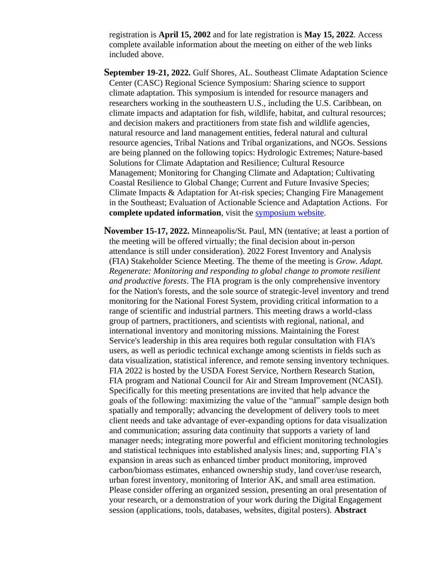registration is **April 15, 2002** and for late registration is **May 15, 2022**. Access complete available information about the meeting on either of the web links included above.

- **September 19-21, 2022.** Gulf Shores, AL. Southeast Climate Adaptation Science Center (CASC) Regional Science Symposium: Sharing science to support climate adaptation. This symposium is intended for resource managers and researchers working in the southeastern U.S., including the U.S. Caribbean, on climate impacts and adaptation for fish, wildlife, habitat, and cultural resources; and decision makers and practitioners from state fish and wildlife agencies, natural resource and land management entities, federal natural and cultural resource agencies, Tribal Nations and Tribal organizations, and NGOs. Sessions are being planned on the following topics: Hydrologic Extremes; Nature-based Solutions for Climate Adaptation and Resilience; Cultural Resource Management; Monitoring for Changing Climate and Adaptation; Cultivating Coastal Resilience to Global Change; Current and Future Invasive Species; Climate Impacts & Adaptation for At-risk species; Changing Fire Management in the Southeast; Evaluation of Actionable Science and Adaptation Actions. For **complete updated information**, visit the [symposium website.](https://gcc02.safelinks.protection.outlook.com/?url=https%3A%2F%2Fncsu.us15.list-manage.com%2Ftrack%2Fclick%3Fu%3Df66dabb2fc387ca289d5ef558%26id%3D9b69acdd9b%26e%3D1307f92a5b&data=04%7C01%7C%7C107266d28ddf421668a008d9c550d722%7Ced5b36e701ee4ebc867ee03cfa0d4697%7C0%7C0%7C637757773261474899%7CUnknown%7CTWFpbGZsb3d8eyJWIjoiMC4wLjAwMDAiLCJQIjoiV2luMzIiLCJBTiI6Ik1haWwiLCJXVCI6Mn0%3D%7C3000&sdata=r2hdkrVXtENK2z37va4ezaEDahNaz02J73EIqq0Pmog%3D&reserved=0)
- **November 15-17, 2022.** Minneapolis/St. Paul, MN (tentative; at least a portion of the meeting will be offered virtually; the final decision about in-person attendance is still under consideration). 2022 Forest Inventory and Analysis (FIA) Stakeholder Science Meeting. The theme of the meeting is *Grow. Adapt. Regenerate: Monitoring and responding to global change to promote resilient and productive forests*. The FIA program is the only comprehensive inventory for the Nation's forests, and the sole source of strategic-level inventory and trend monitoring for the National Forest System, providing critical information to a range of scientific and industrial partners. This meeting draws a world-class group of partners, practitioners, and scientists with regional, national, and international inventory and monitoring missions. Maintaining the Forest Service's leadership in this area requires both regular consultation with FIA's users, as well as periodic technical exchange among scientists in fields such as data visualization, statistical inference, and remote sensing inventory techniques. FIA 2022 is hosted by the USDA Forest Service, Northern Research Station, FIA program and National Council for Air and Stream Improvement (NCASI). Specifically for this meeting presentations are invited that help advance the goals of the following: maximizing the value of the "annual" sample design both spatially and temporally; advancing the development of delivery tools to meet client needs and take advantage of ever-expanding options for data visualization and communication; assuring data continuity that supports a variety of land manager needs; integrating more powerful and efficient monitoring technologies and statistical techniques into established analysis lines; and, supporting FIA's expansion in areas such as enhanced timber product monitoring, improved carbon/biomass estimates, enhanced ownership study, land cover/use research, urban forest inventory, monitoring of Interior AK, and small area estimation. Please consider offering an organized session, presenting an oral presentation of your research, or a demonstration of your work during the Digital Engagement session (applications, tools, databases, websites, digital posters). **Abstract**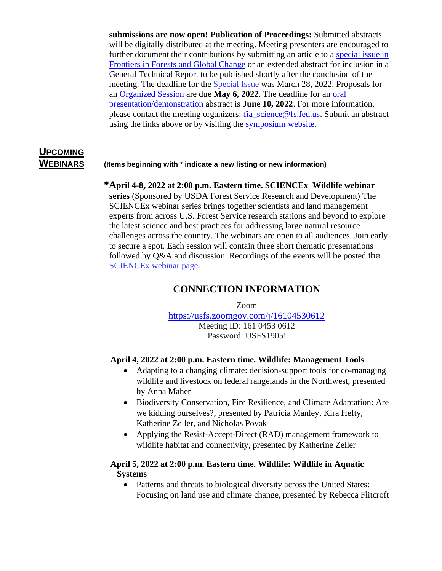**submissions are now open! Publication of Proceedings:** Submitted abstracts will be digitally distributed at the meeting. Meeting presenters are encouraged to further document their contributions by submitting an article to a [special issue in](https://gcc02.safelinks.protection.outlook.com/?url=https%3A%2F%2Fwww.frontiersin.org%2Fresearch-topics%2F31476%2Fmonitoring-and-responding-to-global-change-to-promote-resilient-and-productive-forests-through-innov&data=04%7C01%7C%7Cfa23b9edf225432f3f3908d9effe5696%7Ced5b36e701ee4ebc867ee03cfa0d4697%7C0%7C0%7C637804699356723177%7CUnknown%7CTWFpbGZsb3d8eyJWIjoiMC4wLjAwMDAiLCJQIjoiV2luMzIiLCJBTiI6Ik1haWwiLCJXVCI6Mn0%3D%7C3000&sdata=gRVmtouAvJv9H7QCntmkftzkTN5MqKdK8DGO4SKXSn8%3D&reserved=0)  [Frontiers in Forests and Global Change](https://gcc02.safelinks.protection.outlook.com/?url=https%3A%2F%2Fwww.frontiersin.org%2Fresearch-topics%2F31476%2Fmonitoring-and-responding-to-global-change-to-promote-resilient-and-productive-forests-through-innov&data=04%7C01%7C%7Cfa23b9edf225432f3f3908d9effe5696%7Ced5b36e701ee4ebc867ee03cfa0d4697%7C0%7C0%7C637804699356723177%7CUnknown%7CTWFpbGZsb3d8eyJWIjoiMC4wLjAwMDAiLCJQIjoiV2luMzIiLCJBTiI6Ik1haWwiLCJXVCI6Mn0%3D%7C3000&sdata=gRVmtouAvJv9H7QCntmkftzkTN5MqKdK8DGO4SKXSn8%3D&reserved=0) or an extended abstract for inclusion in a General Technical Report to be published shortly after the conclusion of the meeting. The deadline for the [Special](https://gcc02.safelinks.protection.outlook.com/?url=https%3A%2F%2Fwww.frontiersin.org%2Fresearch-topics%2F31476%2Fmonitoring-and-responding-to-global-change-to-promote-resilient-and-productive-forests-through-innov&data=04%7C01%7C%7Cfa23b9edf225432f3f3908d9effe5696%7Ced5b36e701ee4ebc867ee03cfa0d4697%7C0%7C0%7C637804699356723177%7CUnknown%7CTWFpbGZsb3d8eyJWIjoiMC4wLjAwMDAiLCJQIjoiV2luMzIiLCJBTiI6Ik1haWwiLCJXVCI6Mn0%3D%7C3000&sdata=gRVmtouAvJv9H7QCntmkftzkTN5MqKdK8DGO4SKXSn8%3D&reserved=0) Issue was March 28, 2022. Proposals for an [Organized Session](https://gcc02.safelinks.protection.outlook.com/?url=https%3A%2F%2Fsurvey123.arcgis.com%2Fshare%2F1c0ab2e1f9044a89be6dae4454975fbe&data=04%7C01%7C%7Cfa23b9edf225432f3f3908d9effe5696%7Ced5b36e701ee4ebc867ee03cfa0d4697%7C0%7C0%7C637804699356723177%7CUnknown%7CTWFpbGZsb3d8eyJWIjoiMC4wLjAwMDAiLCJQIjoiV2luMzIiLCJBTiI6Ik1haWwiLCJXVCI6Mn0%3D%7C3000&sdata=p6eJaYKXs129U6i7UWukbt5hn2MRPPg5CIrjO%2BJWn9k%3D&reserved=0) are due **May 6, 2022**. The deadline for an [oral](https://gcc02.safelinks.protection.outlook.com/?url=https%3A%2F%2Fsurvey123.arcgis.com%2Fshare%2Ff6134765fc7046009552325211c10f4a&data=04%7C01%7C%7Cfa23b9edf225432f3f3908d9effe5696%7Ced5b36e701ee4ebc867ee03cfa0d4697%7C0%7C0%7C637804699356723177%7CUnknown%7CTWFpbGZsb3d8eyJWIjoiMC4wLjAwMDAiLCJQIjoiV2luMzIiLCJBTiI6Ik1haWwiLCJXVCI6Mn0%3D%7C3000&sdata=cL6nz3HT1GyGQPJUl%2FBhM1BVd6iZmicF1mRQLjQ%2FryE%3D&reserved=0)  [presentation/demonstration](https://gcc02.safelinks.protection.outlook.com/?url=https%3A%2F%2Fsurvey123.arcgis.com%2Fshare%2Ff6134765fc7046009552325211c10f4a&data=04%7C01%7C%7Cfa23b9edf225432f3f3908d9effe5696%7Ced5b36e701ee4ebc867ee03cfa0d4697%7C0%7C0%7C637804699356723177%7CUnknown%7CTWFpbGZsb3d8eyJWIjoiMC4wLjAwMDAiLCJQIjoiV2luMzIiLCJBTiI6Ik1haWwiLCJXVCI6Mn0%3D%7C3000&sdata=cL6nz3HT1GyGQPJUl%2FBhM1BVd6iZmicF1mRQLjQ%2FryE%3D&reserved=0) abstract is **June 10, 2022**. For more information, please contact the meeting organizers: [fia\\_science@fs.fed.us.](mailto:fia_science@fs.fed.us) Submit an abstract using the links above or by visiting the [symposium website.](https://www.fia.fs.fed.us/sciencestakeholder/index.php)

# **UPCOMING**

### **WEBINARS (Items beginning with \* indicate a new listing or new information)**

#### **\*April 4-8, 2022 at 2:00 p.m. Eastern time. SCIENCEx Wildlife webinar**

**series** (Sponsored by USDA Forest Service Research and Development) The SCIENCEx webinar series brings together scientists and land management experts from across U.S. Forest Service research stations and beyond to explore the latest science and best practices for addressing large natural resource challenges across the country. The webinars are open to all audiences. Join early to secure a spot. Each session will contain three short thematic presentations followed by Q&A and discussion. Recordings of the events will be posted the [SCIENCEx webinar page](https://gcc02.safelinks.protection.outlook.com/?url=https%3A%2F%2Fr20.rs6.net%2Ftn.jsp%3Ff%3D001YZ4ZQbJWR4YHSd5sT33xkofWDAmhJkduX_EvsdV-z-Ur-_-d7gyc5C54rd-6t15QoqRZiz1Qrueq2Q3flb4a1vLm0qi_BiYIfozSNhoc5eyCHQyWZrLgCGCjFq7zF1ZXjkaYk_U6rQud8cIqhyXab694nHgI4h6B1uMMyA9ir1NcsKu8SrieJg%3D%3D%26c%3DMeD1zP8ZmbYACkPGE3rK8B2DtaLQJ3CjtvV1U1JFINrdt4OqWWm6uw%3D%3D%26ch%3Dyy5tTv1J3EaWcbyUWH8R0w_AO3cJSr_VOxwAbNd2KjbtZ2xsX1P0iA%3D%3D&data=04%7C01%7C%7C773ae36b3b784f3f539f08d9931ad55e%7Ced5b36e701ee4ebc867ee03cfa0d4697%7C0%7C0%7C637702565723535266%7CUnknown%7CTWFpbGZsb3d8eyJWIjoiMC4wLjAwMDAiLCJQIjoiV2luMzIiLCJBTiI6Ik1haWwiLCJXVCI6Mn0%3D%7C1000&sdata=%2FZzldPcyFF7kmbZnaVOA%2BXr%2Bdn9nqzd%2FFlD7IxWcu8Q%3D&reserved=0).

#### **CONNECTION INFORMATION**

Zoom

[https://usfs.zoomgov.com/j/16104530612](https://gcc02.safelinks.protection.outlook.com/?url=https%3A%2F%2Fusfs.zoomgov.com%2Fj%2F16104530612&data=04%7C01%7C%7C075c240cde524692de0b08d9aacc71c6%7Ced5b36e701ee4ebc867ee03cfa0d4697%7C0%7C0%7C637728618070238968%7CUnknown%7CTWFpbGZsb3d8eyJWIjoiMC4wLjAwMDAiLCJQIjoiV2luMzIiLCJBTiI6Ik1haWwiLCJXVCI6Mn0%3D%7C3000&sdata=MDIOrZqaH8X1CYs3WqBZPvvXARnt23rKemkzRL23qPk%3D&reserved=0) Meeting ID: 161 0453 0612 Password: USFS1905!

#### **April 4, 2022 at 2:00 p.m. Eastern time. Wildlife: Management Tools**

- Adapting to a changing climate: decision-support tools for co-managing wildlife and livestock on federal rangelands in the Northwest, presented by Anna Maher
- Biodiversity Conservation, Fire Resilience, and Climate Adaptation: Are we kidding ourselves?, presented by Patricia Manley, Kira Hefty, Katherine Zeller, and Nicholas Povak
- Applying the Resist-Accept-Direct (RAD) management framework to wildlife habitat and connectivity, presented by Katherine Zeller

#### **April 5, 2022 at 2:00 p.m. Eastern time. Wildlife: Wildlife in Aquatic Systems**

• Patterns and threats to biological diversity across the United States: Focusing on land use and climate change, presented by Rebecca Flitcroft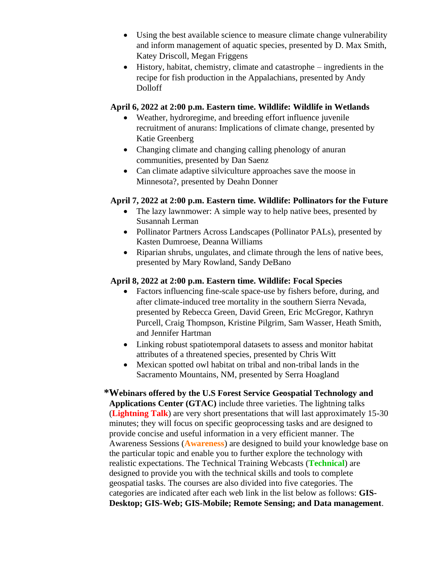- Using the best available science to measure climate change vulnerability and inform management of aquatic species, presented by D. Max Smith, Katey Driscoll, Megan Friggens
- History, habitat, chemistry, climate and catastrophe ingredients in the recipe for fish production in the Appalachians, presented by Andy Dolloff

#### **April 6, 2022 at 2:00 p.m. Eastern time. Wildlife: Wildlife in Wetlands**

- Weather, hydroregime, and breeding effort influence juvenile recruitment of anurans: Implications of climate change, presented by Katie Greenberg
- Changing climate and changing calling phenology of anuran communities, presented by Dan Saenz
- Can climate adaptive silviculture approaches save the moose in Minnesota?, presented by Deahn Donner

### **April 7, 2022 at 2:00 p.m. Eastern time. Wildlife: Pollinators for the Future**

- The lazy lawnmower: A simple way to help native bees, presented by Susannah Lerman
- Pollinator Partners Across Landscapes (Pollinator PALs), presented by Kasten Dumroese, Deanna Williams
- Riparian shrubs, ungulates, and climate through the lens of native bees, presented by Mary Rowland, Sandy DeBano

#### **April 8, 2022 at 2:00 p.m. Eastern time. Wildlife: Focal Species**

- Factors influencing fine-scale space-use by fishers before, during, and after climate-induced tree mortality in the southern Sierra Nevada, presented by Rebecca Green, David Green, Eric McGregor, Kathryn Purcell, Craig Thompson, Kristine Pilgrim, Sam Wasser, Heath Smith, and Jennifer Hartman
- Linking robust spatiotemporal datasets to assess and monitor habitat attributes of a threatened species, presented by Chris Witt
- Mexican spotted owl habitat on tribal and non-tribal lands in the Sacramento Mountains, NM, presented by Serra Hoagland

**\*Webinars offered by the U.S Forest Service Geospatial Technology and Applications Center (GTAC)** include three varieties. The lightning talks (**Lightning Talk**) are very short presentations that will last approximately 15-30 minutes; they will focus on specific geoprocessing tasks and are designed to provide concise and useful information in a very efficient manner. The Awareness Sessions (**Awareness**) are designed to build your knowledge base on the particular topic and enable you to further explore the technology with realistic expectations. The Technical Training Webcasts (**Technical**) are designed to provide you with the technical skills and tools to complete geospatial tasks. The courses are also divided into five categories. The categories are indicated after each web link in the list below as follows: **GIS-Desktop; GIS-Web; GIS-Mobile; Remote Sensing; and Data management**.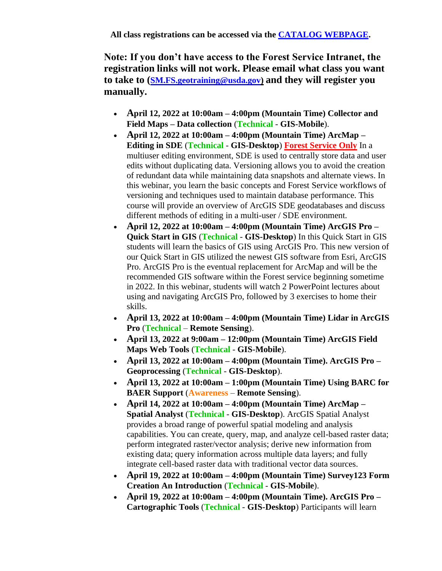**Note: If you don't have access to the Forest Service Intranet, the registration links will not work. Please email what class you want to take to ([SM.FS.geotraining@usda.gov\)](mailto:SM.FS.geotraining@usda.gov) and they will register you manually.**

- **April 12, 2022 at 10:00am – 4:00pm (Mountain Time) Collector and Field Maps – Data collection** (**Technical** - **GIS-Mobile**).
- **April 12, 2022 at 10:00am – 4:00pm (Mountain Time) ArcMap – Editing in SDE** (**Technical** - **GIS-Desktop**) **Forest Service Only** In a multiuser editing environment, SDE is used to centrally store data and user edits without duplicating data. Versioning allows you to avoid the creation of redundant data while maintaining data snapshots and alternate views. In this webinar, you learn the basic concepts and Forest Service workflows of versioning and techniques used to maintain database performance. This course will provide an overview of ArcGIS SDE geodatabases and discuss different methods of editing in a multi-user / SDE environment.
- **April 12, 2022 at 10:00am – 4:00pm (Mountain Time) ArcGIS Pro – Quick Start in GIS** (**Technical** - **GIS-Desktop**) In this Quick Start in GIS students will learn the basics of GIS using ArcGIS Pro. This new version of our Quick Start in GIS utilized the newest GIS software from Esri, ArcGIS Pro. ArcGIS Pro is the eventual replacement for ArcMap and will be the recommended GIS software within the Forest service beginning sometime in 2022. In this webinar, students will watch 2 PowerPoint lectures about using and navigating ArcGIS Pro, followed by 3 exercises to home their skills.
- **April 13, 2022 at 10:00am – 4:00pm (Mountain Time) Lidar in ArcGIS Pro** (**Technical** – **Remote Sensing**).
- **April 13, 2022 at 9:00am – 12:00pm (Mountain Time) ArcGIS Field Maps Web Tools** (**Technical** - **GIS-Mobile**).
- **April 13, 2022 at 10:00am – 4:00pm (Mountain Time). ArcGIS Pro – Geoprocessing** (**Technical** - **GIS-Desktop**).
- **April 13, 2022 at 10:00am – 1:00pm (Mountain Time) Using BARC for BAER Support** (**Awareness** – **Remote Sensing**).
- **April 14, 2022 at 10:00am – 4:00pm (Mountain Time) ArcMap – Spatial Analyst** (**Technical** - **GIS-Desktop**). ArcGIS Spatial Analyst provides a broad range of powerful spatial modeling and analysis capabilities. You can create, query, map, and analyze cell-based raster data; perform integrated raster/vector analysis; derive new information from existing data; query information across multiple data layers; and fully integrate cell-based raster data with traditional vector data sources.
- **April 19, 2022 at 10:00am – 4:00pm (Mountain Time) Survey123 Form Creation An Introduction** (**Technical** - **GIS-Mobile**).
- **April 19, 2022 at 10:00am – 4:00pm (Mountain Time). ArcGIS Pro – Cartographic Tools** (**Technical** - **GIS-Desktop**) Participants will learn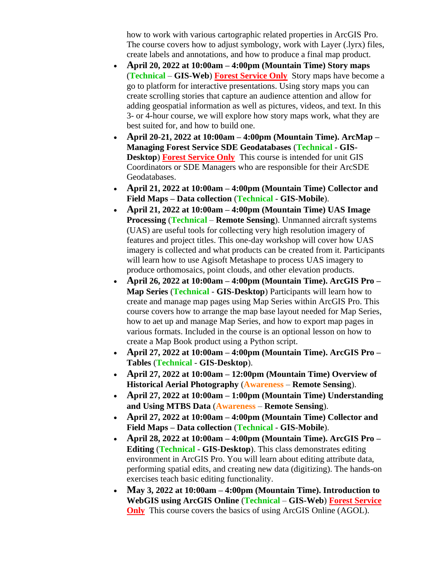how to work with various cartographic related properties in ArcGIS Pro. The course covers how to adjust symbology, work with Layer (.lyrx) files, create labels and annotations, and how to produce a final map product.

- **April 20, 2022 at 10:00am – 4:00pm (Mountain Time) Story maps**  (**Technical** – **GIS-Web**) **Forest Service Only** Story maps have become a go to platform for interactive presentations. Using story maps you can create scrolling stories that capture an audience attention and allow for adding geospatial information as well as pictures, videos, and text. In this 3- or 4-hour course, we will explore how story maps work, what they are best suited for, and how to build one.
- **April 20-21, 2022 at 10:00am – 4:00pm (Mountain Time). ArcMap – Managing Forest Service SDE Geodatabases** (**Technical** - **GIS-Desktop**) **Forest Service Only** This course is intended for unit GIS Coordinators or SDE Managers who are responsible for their ArcSDE Geodatabases.
- **April 21, 2022 at 10:00am – 4:00pm (Mountain Time) Collector and Field Maps – Data collection** (**Technical** - **GIS-Mobile**).
- **April 21, 2022 at 10:00am – 4:00pm (Mountain Time) UAS Image Processing** (**Technical** – **Remote Sensing**). Unmanned aircraft systems (UAS) are useful tools for collecting very high resolution imagery of features and project titles. This one-day workshop will cover how UAS imagery is collected and what products can be created from it. Participants will learn how to use Agisoft Metashape to process UAS imagery to produce orthomosaics, point clouds, and other elevation products.
- **April 26, 2022 at 10:00am – 4:00pm (Mountain Time). ArcGIS Pro – Map Series** (**Technical** - **GIS-Desktop**) Participants will learn how to create and manage map pages using Map Series within ArcGIS Pro. This course covers how to arrange the map base layout needed for Map Series, how to aet up and manage Map Series, and how to export map pages in various formats. Included in the course is an optional lesson on how to create a Map Book product using a Python script.
- **April 27, 2022 at 10:00am – 4:00pm (Mountain Time). ArcGIS Pro – Tables** (**Technical** - **GIS-Desktop**).
- **April 27, 2022 at 10:00am – 12:00pm (Mountain Time) Overview of Historical Aerial Photography** (**Awareness** – **Remote Sensing**).
- **April 27, 2022 at 10:00am – 1:00pm (Mountain Time) Understanding and Using MTBS Data** (**Awareness** – **Remote Sensing**).
- **April 27, 2022 at 10:00am – 4:00pm (Mountain Time) Collector and Field Maps – Data collection** (**Technical** - **GIS-Mobile**).
- **April 28, 2022 at 10:00am – 4:00pm (Mountain Time). ArcGIS Pro – Editing** (**Technical** - **GIS-Desktop**). This class demonstrates editing environment in ArcGIS Pro. You will learn about editing attribute data, performing spatial edits, and creating new data (digitizing). The hands-on exercises teach basic editing functionality.
- **May 3, 2022 at 10:00am – 4:00pm (Mountain Time). Introduction to WebGIS using ArcGIS Online** (**Technical** – **GIS-Web**) **Forest Service Only** This course covers the basics of using ArcGIS Online (AGOL).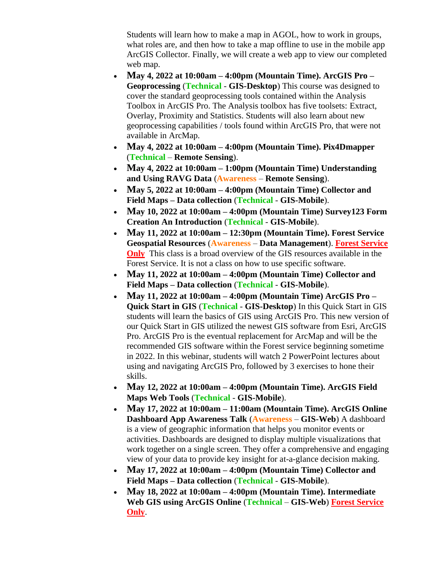Students will learn how to make a map in AGOL, how to work in groups, what roles are, and then how to take a map offline to use in the mobile app ArcGIS Collector. Finally, we will create a web app to view our completed web map.

- **May 4, 2022 at 10:00am – 4:00pm (Mountain Time). ArcGIS Pro – Geoprocessing** (**Technical** - **GIS-Desktop**) This course was designed to cover the standard geoprocessing tools contained within the Analysis Toolbox in ArcGIS Pro. The Analysis toolbox has five toolsets: Extract, Overlay, Proximity and Statistics. Students will also learn about new geoprocessing capabilities / tools found within ArcGIS Pro, that were not available in ArcMap.
- **May 4, 2022 at 10:00am – 4:00pm (Mountain Time). Pix4Dmapper**  (**Technical** – **Remote Sensing**).
- **May 4, 2022 at 10:00am – 1:00pm (Mountain Time) Understanding and Using RAVG Data** (**Awareness** – **Remote Sensing**).
- **May 5, 2022 at 10:00am – 4:00pm (Mountain Time) Collector and Field Maps – Data collection** (**Technical** - **GIS-Mobile**).
- **May 10, 2022 at 10:00am – 4:00pm (Mountain Time) Survey123 Form Creation An Introduction** (**Technical** - **GIS-Mobile**).
- **May 11, 2022 at 10:00am – 12:30pm (Mountain Time). Forest Service Geospatial Resources** (**Awareness** – **Data Management**). **Forest Service Only** This class is a broad overview of the GIS resources available in the Forest Service. It is not a class on how to use specific software.
- **May 11, 2022 at 10:00am – 4:00pm (Mountain Time) Collector and Field Maps – Data collection** (**Technical** - **GIS-Mobile**).
- **May 11, 2022 at 10:00am – 4:00pm (Mountain Time) ArcGIS Pro – Quick Start in GIS** (**Technical** - **GIS-Desktop**) In this Quick Start in GIS students will learn the basics of GIS using ArcGIS Pro. This new version of our Quick Start in GIS utilized the newest GIS software from Esri, ArcGIS Pro. ArcGIS Pro is the eventual replacement for ArcMap and will be the recommended GIS software within the Forest service beginning sometime in 2022. In this webinar, students will watch 2 PowerPoint lectures about using and navigating ArcGIS Pro, followed by 3 exercises to hone their skills.
- **May 12, 2022 at 10:00am – 4:00pm (Mountain Time). ArcGIS Field Maps Web Tools** (**Technical** - **GIS-Mobile**).
- **May 17, 2022 at 10:00am – 11:00am (Mountain Time). ArcGIS Online Dashboard App Awareness Talk** (**Awareness** – **GIS-Web**) A dashboard is a view of geographic information that helps you monitor events or activities. Dashboards are designed to display multiple visualizations that work together on a single screen. They offer a comprehensive and engaging view of your data to provide key insight for at-a-glance decision making.
- **May 17, 2022 at 10:00am – 4:00pm (Mountain Time) Collector and Field Maps – Data collection** (**Technical** - **GIS-Mobile**).
- **May 18, 2022 at 10:00am – 4:00pm (Mountain Time). Intermediate Web GIS using ArcGIS Online** (**Technical** – **GIS-Web**) **Forest Service Only**.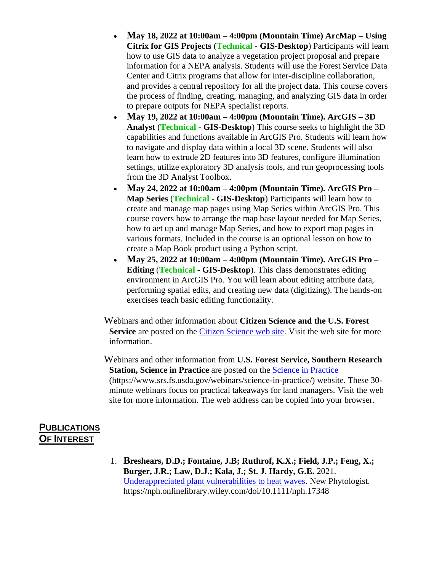- **May 18, 2022 at 10:00am – 4:00pm (Mountain Time) ArcMap – Using Citrix for GIS Projects** (**Technical** - **GIS-Desktop**) Participants will learn how to use GIS data to analyze a vegetation project proposal and prepare information for a NEPA analysis. Students will use the Forest Service Data Center and Citrix programs that allow for inter-discipline collaboration, and provides a central repository for all the project data. This course covers the process of finding, creating, managing, and analyzing GIS data in order to prepare outputs for NEPA specialist reports.
- **May 19, 2022 at 10:00am – 4:00pm (Mountain Time). ArcGIS – 3D Analyst** (**Technical** - **GIS-Desktop**) This course seeks to highlight the 3D capabilities and functions available in ArcGIS Pro. Students will learn how to navigate and display data within a local 3D scene. Students will also learn how to extrude 2D features into 3D features, configure illumination settings, utilize exploratory 3D analysis tools, and run geoprocessing tools from the 3D Analyst Toolbox.
- **May 24, 2022 at 10:00am – 4:00pm (Mountain Time). ArcGIS Pro – Map Series** (**Technical** - **GIS-Desktop**) Participants will learn how to create and manage map pages using Map Series within ArcGIS Pro. This course covers how to arrange the map base layout needed for Map Series, how to aet up and manage Map Series, and how to export map pages in various formats. Included in the course is an optional lesson on how to create a Map Book product using a Python script.
- **May 25, 2022 at 10:00am – 4:00pm (Mountain Time). ArcGIS Pro – Editing** (**Technical** - **GIS-Desktop**). This class demonstrates editing environment in ArcGIS Pro. You will learn about editing attribute data, performing spatial edits, and creating new data (digitizing). The hands-on exercises teach basic editing functionality.

Webinars and other information about **Citizen Science and the U.S. Forest Service** are posted on the [Citizen Science web site.](https://www.fs.fed.us/working-with-us/citizen-science) Visit the web site for more information.

Webinars and other information from **U.S. Forest Service, Southern Research Station, Science in Practice** are posted on the [Science in Practice](https://www.srs.fs.usda.gov/webinars/science-in-practice/) [\(https://www.srs.fs.usda.gov/webinars/science-in-practice/\)](https://www.srs.fs.usda.gov/webinars/science-in-practice/) website. These 30 minute webinars focus on practical takeaways for land managers. Visit the web site for more information. The web address can be copied into your browser.

## **PUBLICATIONS OF INTEREST**

1. **Breshears, D.D.; Fontaine, J.B; Ruthrof, K.X.; Field, J.P.; Feng, X.; Burger, J.R.; Law, D.J.; Kala, J.; St. J. Hardy, G.E.** 2021. [Underappreciated plant vulnerabilities to heat waves.](https://nph.onlinelibrary.wiley.com/doi/10.1111/nph.17348) New Phytologist. https://nph.onlinelibrary.wiley.com/doi/10.1111/nph.17348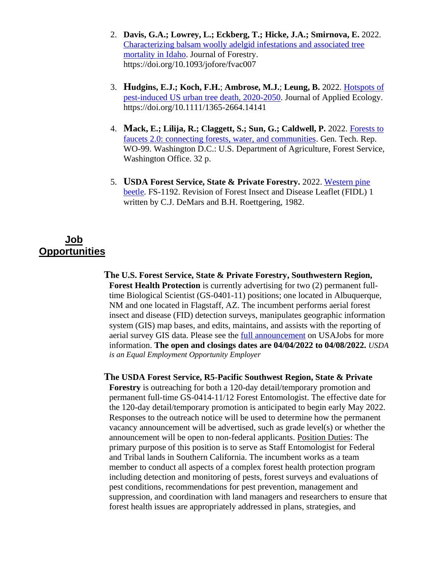- 2. **Davis, G.A.; Lowrey, L.; Eckberg, T.; Hicke, J.A.; Smirnova, E.** 2022. [Characterizing balsam woolly adelgid infestations and associated tree](https://doi.org/10.1093/jofore/fvac007)  [mortality in Idaho.](https://doi.org/10.1093/jofore/fvac007) Journal of Forestry. https://doi.org/10.1093/jofore/fvac007
- 3. **Hudgins, E.J.; Koch, F.H.**; **Ambrose, M.J.**; **Leung, B.** 2022. [Hotspots of](http://doi.org/10.1111/1365-2664.14141)  [pest-induced US urban tree death, 2020-2050.](http://doi.org/10.1111/1365-2664.14141) Journal of Applied Ecology. <https://doi.org/10.1111/1365-2664.14141>
- 4. **Mack, E.; Lilija, R.; Claggett, S.; Sun, G.; Caldwell, P.** 2022. [Forests to](https://doi.org/10.2737/WO-GTR-99)  [faucets 2.0: connecting forests, water, and communities.](https://doi.org/10.2737/WO-GTR-99) Gen. Tech. Rep. WO-99. Washington D.C.: U.S. Department of Agriculture, Forest Service, Washington Office. 32 p.
- 5. **USDA Forest Service, State & Private Forestry.** 2022. [Western pine](https://www.fs.fed.us/foresthealth/docs/fidls/FIDL-01-WesternPineBeetle.pdf)  [beetle.](https://www.fs.fed.us/foresthealth/docs/fidls/FIDL-01-WesternPineBeetle.pdf) FS-1192. Revision of Forest Insect and Disease Leaflet (FIDL) 1 written by C.J. DeMars and B.H. Roettgering, 1982.

# **Job Opportunities**

**The U.S. Forest Service, State & Private Forestry, Southwestern Region, Forest Health Protection** is currently advertising for two (2) permanent fulltime Biological Scientist (GS-0401-11) positions; one located in Albuquerque, NM and one located in Flagstaff, AZ. The incumbent performs aerial forest insect and disease (FID) detection surveys, manipulates geographic information system (GIS) map bases, and edits, maintains, and assists with the reporting of aerial survey GIS data. Please see the **full announcement** on USAJobs for more information. **The open and closings dates are 04/04/2022 to 04/08/2022.** *USDA is an Equal Employment Opportunity Employer*

**The USDA Forest Service, R5-Pacific Southwest Region, State & Private Forestry** is outreaching for both a 120-day detail/temporary promotion and permanent full-time GS-0414-11/12 Forest Entomologist. The effective date for the 120-day detail/temporary promotion is anticipated to begin early May 2022. Responses to the outreach notice will be used to determine how the permanent vacancy announcement will be advertised, such as grade level(s) or whether the announcement will be open to non-federal applicants. Position Duties: The primary purpose of this position is to serve as Staff Entomologist for Federal and Tribal lands in Southern California. The incumbent works as a team member to conduct all aspects of a complex forest health protection program including detection and monitoring of pests, forest surveys and evaluations of pest conditions, recommendations for pest prevention, management and suppression, and coordination with land managers and researchers to ensure that forest health issues are appropriately addressed in plans, strategies, and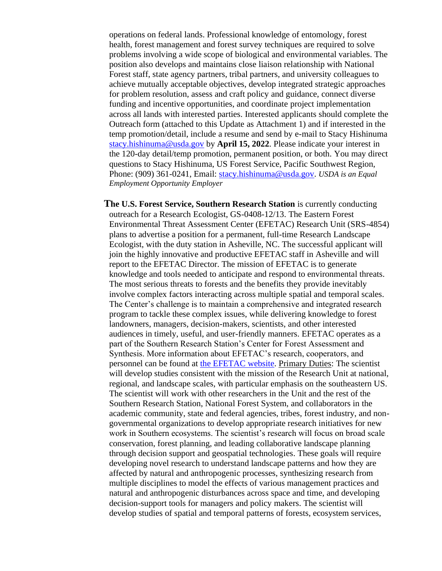operations on federal lands. Professional knowledge of entomology, forest health, forest management and forest survey techniques are required to solve problems involving a wide scope of biological and environmental variables. The position also develops and maintains close liaison relationship with National Forest staff, state agency partners, tribal partners, and university colleagues to achieve mutually acceptable objectives, develop integrated strategic approaches for problem resolution, assess and craft policy and guidance, connect diverse funding and incentive opportunities, and coordinate project implementation across all lands with interested parties. Interested applicants should complete the Outreach form (attached to this Update as Attachment 1) and if interested in the temp promotion/detail, include a resume and send by e-mail to Stacy Hishinuma [stacy.hishinuma@usda.gov](mailto:stacy.hishinuma@usda.gov) by **April 15, 2022**. Please indicate your interest in the 120-day detail/temp promotion, permanent position, or both. You may direct questions to Stacy Hishinuma, US Forest Service, Pacific Southwest Region, Phone: (909) 361-0241, Email: [stacy.hishinuma@usda.gov.](mailto:stacy.hishinuma@usda.gov) *USDA is an Equal Employment Opportunity Employer*

**The U.S. Forest Service, Southern Research Station** is currently conducting outreach for a Research Ecologist, GS-0408-12/13. The Eastern Forest Environmental Threat Assessment Center (EFETAC) Research Unit (SRS-4854) plans to advertise a position for a permanent, full-time Research Landscape Ecologist, with the duty station in Asheville, NC. The successful applicant will join the highly innovative and productive EFETAC staff in Asheville and will report to the EFETAC Director. The mission of EFETAC is to generate knowledge and tools needed to anticipate and respond to environmental threats. The most serious threats to forests and the benefits they provide inevitably involve complex factors interacting across multiple spatial and temporal scales. The Center's challenge is to maintain a comprehensive and integrated research program to tackle these complex issues, while delivering knowledge to forest landowners, managers, decision-makers, scientists, and other interested audiences in timely, useful, and user-friendly manners. EFETAC operates as a part of the Southern Research Station's Center for Forest Assessment and Synthesis. More information about EFETAC's research, cooperators, and personnel can be found at [the EFETAC website.](https://forestthreats.org/) Primary Duties: The scientist will develop studies consistent with the mission of the Research Unit at national, regional, and landscape scales, with particular emphasis on the southeastern US. The scientist will work with other researchers in the Unit and the rest of the Southern Research Station, National Forest System, and collaborators in the academic community, state and federal agencies, tribes, forest industry, and nongovernmental organizations to develop appropriate research initiatives for new work in Southern ecosystems. The scientist's research will focus on broad scale conservation, forest planning, and leading collaborative landscape planning through decision support and geospatial technologies. These goals will require developing novel research to understand landscape patterns and how they are affected by natural and anthropogenic processes, synthesizing research from multiple disciplines to model the effects of various management practices and natural and anthropogenic disturbances across space and time, and developing decision-support tools for managers and policy makers. The scientist will develop studies of spatial and temporal patterns of forests, ecosystem services,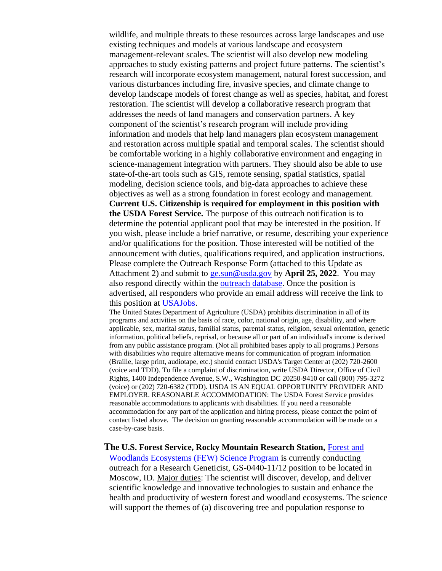wildlife, and multiple threats to these resources across large landscapes and use existing techniques and models at various landscape and ecosystem management-relevant scales. The scientist will also develop new modeling approaches to study existing patterns and project future patterns. The scientist's research will incorporate ecosystem management, natural forest succession, and various disturbances including fire, invasive species, and climate change to develop landscape models of forest change as well as species, habitat, and forest restoration. The scientist will develop a collaborative research program that addresses the needs of land managers and conservation partners. A key component of the scientist's research program will include providing information and models that help land managers plan ecosystem management and restoration across multiple spatial and temporal scales. The scientist should be comfortable working in a highly collaborative environment and engaging in science-management integration with partners. They should also be able to use state-of-the-art tools such as GIS, remote sensing, spatial statistics, spatial modeling, decision science tools, and big-data approaches to achieve these objectives as well as a strong foundation in forest ecology and management. **Current U.S. Citizenship is required for employment in this position with the USDA Forest Service.** The purpose of this outreach notification is to determine the potential applicant pool that may be interested in the position. If you wish, please include a brief narrative, or resume, describing your experience and/or qualifications for the position. Those interested will be notified of the announcement with duties, qualifications required, and application instructions. Please complete the Outreach Response Form (attached to this Update as Attachment 2) and submit to [ge.sun@usda.gov](mailto:ge.sun@usda.gov) by **April 25, 2022**. You may also respond directly within the [outreach database.](https://gcc02.safelinks.protection.outlook.com/?url=https%3A%2F%2Ffsoutreach.gdcii.com%2F%3Fid%3DA5E2A5833C0A475F9B5D2D9E0A736ABA&data=04%7C01%7C%7Cf76d7feb2ae04fcf914108da0e77a59c%7Ced5b36e701ee4ebc867ee03cfa0d4697%7C0%7C0%7C637838204587984528%7CUnknown%7CTWFpbGZsb3d8eyJWIjoiMC4wLjAwMDAiLCJQIjoiV2luMzIiLCJBTiI6Ik1haWwiLCJXVCI6Mn0%3D%7C3000&sdata=GnyhSwCwxSHRq4drUXnLim6cWsoXP2H1gnQ%2FFIxx5vw%3D&reserved=0) Once the position is advertised, all responders who provide an email address will receive the link to

this position at [USAJobs.](http://www.usajobs.gov/)

The United States Department of Agriculture (USDA) prohibits discrimination in all of its programs and activities on the basis of race, color, national origin, age, disability, and where applicable, sex, marital status, familial status, parental status, religion, sexual orientation, genetic information, political beliefs, reprisal, or because all or part of an individual's income is derived from any public assistance program. (Not all prohibited bases apply to all programs.) Persons with disabilities who require alternative means for communication of program information (Braille, large print, audiotape, etc.) should contact USDA's Target Center at (202) 720-2600 (voice and TDD). To file a complaint of discrimination, write USDA Director, Office of Civil Rights, 1400 Independence Avenue, S.W., Washington DC 20250-9410 or call (800) 795-3272 (voice) or (202) 720-6382 (TDD). USDA IS AN EQUAL OPPORTUNITY PROVIDER AND EMPLOYER. REASONABLE ACCOMMODATION: The USDA Forest Service provides reasonable accommodations to applicants with disabilities. If you need a reasonable accommodation for any part of the application and hiring process, please contact the point of contact listed above. The decision on granting reasonable accommodation will be made on a case-by-case basis.

#### **The U.S. Forest Service, Rocky Mountain Research Station,** [Forest and](http://www.fs.fed.us/rm/forest-woodland/)  [Woodlands Ecosystems \(FEW\) Science Program](http://www.fs.fed.us/rm/forest-woodland/) is currently conducting outreach for a Research Geneticist, GS-0440-11/12 position to be located in Moscow, ID. Major duties: The scientist will discover, develop, and deliver scientific knowledge and innovative technologies to sustain and enhance the health and productivity of western forest and woodland ecosystems. The science

will support the themes of (a) discovering tree and population response to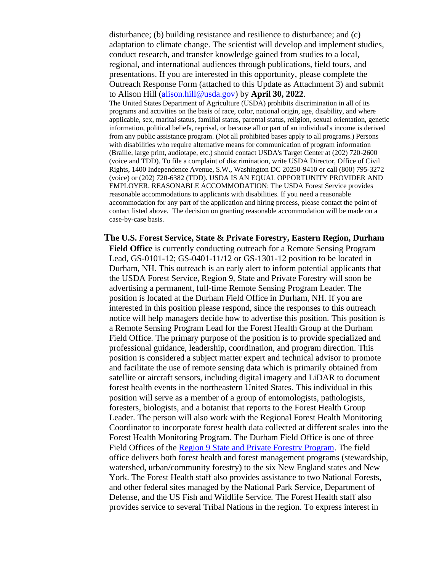disturbance; (b) building resistance and resilience to disturbance; and (c) adaptation to climate change. The scientist will develop and implement studies, conduct research, and transfer knowledge gained from studies to a local, regional, and international audiences through publications, field tours, and presentations. If you are interested in this opportunity, please complete the Outreach Response Form (attached to this Update as Attachment 3) and submit to Alison Hill [\(alison.hill@usda.gov\)](mailto:alison.hill@usda.gov) by **April 30, 2022**. The United States Department of Agriculture (USDA) prohibits discrimination in all of its programs and activities on the basis of race, color, national origin, age, disability, and where applicable, sex, marital status, familial status, parental status, religion, sexual orientation, genetic information, political beliefs, reprisal, or because all or part of an individual's income is derived from any public assistance program. (Not all prohibited bases apply to all programs.) Persons with disabilities who require alternative means for communication of program information (Braille, large print, audiotape, etc.) should contact USDA's Target Center at (202) 720-2600 (voice and TDD). To file a complaint of discrimination, write USDA Director, Office of Civil Rights, 1400 Independence Avenue, S.W., Washington DC 20250-9410 or call (800) 795-3272 (voice) or (202) 720-6382 (TDD). USDA IS AN EQUAL OPPORTUNITY PROVIDER AND EMPLOYER. REASONABLE ACCOMMODATION: The USDA Forest Service provides

reasonable accommodations to applicants with disabilities. If you need a reasonable accommodation for any part of the application and hiring process, please contact the point of contact listed above. The decision on granting reasonable accommodation will be made on a case-by-case basis.

**The U.S. Forest Service, State & Private Forestry, Eastern Region, Durham Field Office** is currently conducting outreach for a Remote Sensing Program Lead, GS-0101-12; GS-0401-11/12 or GS-1301-12 position to be located in Durham, NH. This outreach is an early alert to inform potential applicants that the USDA Forest Service, Region 9, State and Private Forestry will soon be advertising a permanent, full-time Remote Sensing Program Leader. The position is located at the Durham Field Office in Durham, NH. If you are interested in this position please respond, since the responses to this outreach notice will help managers decide how to advertise this position. This position is a Remote Sensing Program Lead for the Forest Health Group at the Durham Field Office. The primary purpose of the position is to provide specialized and professional guidance, leadership, coordination, and program direction. This position is considered a subject matter expert and technical advisor to promote and facilitate the use of remote sensing data which is primarily obtained from satellite or aircraft sensors, including digital imagery and LiDAR to document forest health events in the northeastern United States. This individual in this position will serve as a member of a group of entomologists, pathologists, foresters, biologists, and a botanist that reports to the Forest Health Group Leader. The person will also work with the Regional Forest Health Monitoring Coordinator to incorporate forest health data collected at different scales into the Forest Health Monitoring Program. The Durham Field Office is one of three Field Offices of the [Region 9 State and Private Forestry Program.](https://www.fs.usda.gov/main/r9/communityforests) The field office delivers both forest health and forest management programs (stewardship, watershed, urban/community forestry) to the six New England states and New York. The Forest Health staff also provides assistance to two National Forests, and other federal sites managed by the National Park Service, Department of Defense, and the US Fish and Wildlife Service. The Forest Health staff also provides service to several Tribal Nations in the region. To express interest in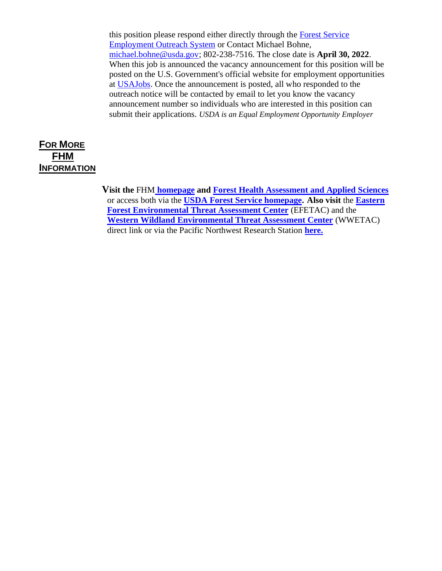this position please respond either directly through the [Forest Service](https://fsoutreach.gdcii.com/)  [Employment Outreach System](https://fsoutreach.gdcii.com/) or Contact Michael Bohne, [michael.bohne@usda.gov;](mailto:michael.bohne@usda.gov) 802-238-7516. The close date is **April 30, 2022**. When this job is announced the vacancy announcement for this position will be posted on the U.S. Government's official website for employment opportunities at [USAJobs.](http://www.usajobs.gov/) Once the announcement is posted, all who responded to the outreach notice will be contacted by email to let you know the vacancy announcement number so individuals who are interested in this position can submit their applications. *USDA is an Equal Employment Opportunity Employer*

# **FOR MORE FHM INFORMATION**

**Visit the** FHM **[homepage](https://www.fs.fed.us/foresthealth/protecting-forest/forest-health-monitoring/index.shtml) and [Forest Health Assessment and Applied Sciences](https://www.fs.fed.us/foresthealth/applied-sciences/index.shtml)** or access both via the **[USDA Forest Service homepage.](https://www.fs.fed.us/) Also visit** the **[Eastern](https://forestthreats.org/)  [Forest Environmental Threat Assessment Center](https://forestthreats.org/)** (EFETAC) and the **[Western Wildland Environmental Threat Assessment Center](https://www.fs.fed.us/wwetac/)** (WWETAC) direct link or via the Pacific Northwest Research Station **[here.](https://www.fs.usda.gov/pnw/program/western-wildland-environmental-threat-assessment-center)**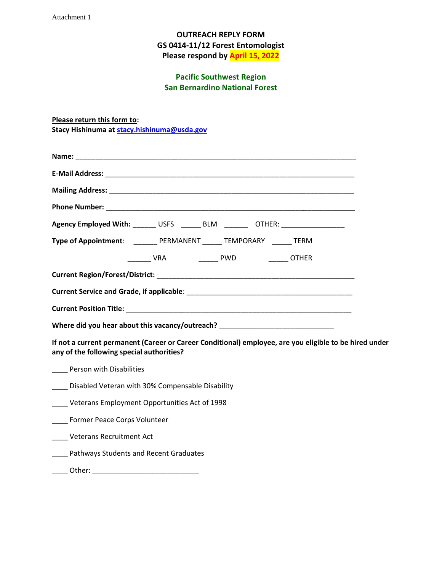Attachment 1

#### **OUTREACH REPLY FORM GS 0414-11/12 Forest Entomologist Please respond by April 15, 2022**

#### **Pacific Southwest Region San Bernardino National Forest**

**Please return this form to: Stacy Hishinuma at [stacy.hishinuma@usda.gov](mailto:stacy.hishinuma@usda.gov)**

| Agency Employed With: ______ USFS ______ BLM _______ OTHER: ___________________                                                                     |                                               |  |  |
|-----------------------------------------------------------------------------------------------------------------------------------------------------|-----------------------------------------------|--|--|
| Type of Appointment: _________ PERMANENT ______ TEMPORARY ______ TERM                                                                               |                                               |  |  |
|                                                                                                                                                     | _______ VRA      ______ PWD      ______ OTHER |  |  |
|                                                                                                                                                     |                                               |  |  |
|                                                                                                                                                     |                                               |  |  |
|                                                                                                                                                     |                                               |  |  |
| Where did you hear about this vacancy/outreach? ________________________________                                                                    |                                               |  |  |
| If not a current permanent (Career or Career Conditional) employee, are you eligible to be hired under<br>any of the following special authorities? |                                               |  |  |
| ___ Person with Disabilities                                                                                                                        |                                               |  |  |
| ___ Disabled Veteran with 30% Compensable Disability                                                                                                |                                               |  |  |
|                                                                                                                                                     |                                               |  |  |

\_\_\_\_ Veterans Employment Opportunities Act of 1998

\_\_\_\_ Former Peace Corps Volunteer

\_\_\_\_ Veterans Recruitment Act

- Pathways Students and Recent Graduates
- \_\_\_\_ Other: \_\_\_\_\_\_\_\_\_\_\_\_\_\_\_\_\_\_\_\_\_\_\_\_\_\_\_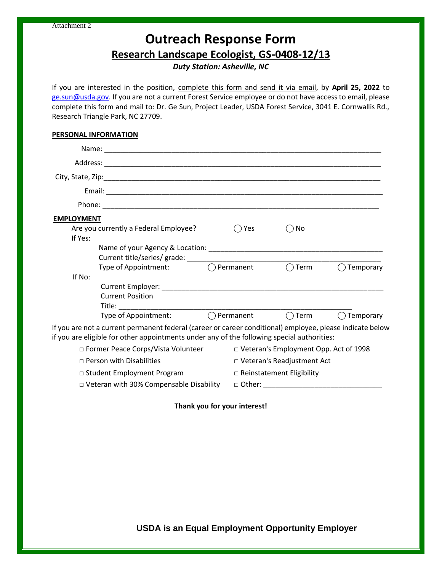# **Outreach Response Form**

**Research Landscape Ecologist, GS-0408-12/13**

*Duty Station: Asheville, NC*

If you are interested in the position, complete this form and send it via email, by **April 25, 2022** to [ge.sun@usda.gov.](mailto:ge.sun@usda.gov) If you are not a current Forest Service employee or do not have access to email, please complete this form and mail to: Dr. Ge Sun, Project Leader, USDA Forest Service, 3041 E. Cornwallis Rd., Research Triangle Park, NC 27709.

#### **PERSONAL INFORMATION**

| <b>EMPLOYMENT</b>                              |                                                                                                                                                                                                         |                     |                                         |                |                     |  |
|------------------------------------------------|---------------------------------------------------------------------------------------------------------------------------------------------------------------------------------------------------------|---------------------|-----------------------------------------|----------------|---------------------|--|
| If Yes:                                        | Are you currently a Federal Employee?                                                                                                                                                                   |                     | Yes                                     | No             |                     |  |
|                                                |                                                                                                                                                                                                         |                     |                                         |                |                     |  |
|                                                | Type of Appointment:                                                                                                                                                                                    | $\bigcap$ Permanent |                                         | $\bigcap$ Term | Temporary           |  |
| If No:                                         |                                                                                                                                                                                                         |                     |                                         |                |                     |  |
|                                                | <b>Current Position</b>                                                                                                                                                                                 |                     |                                         |                |                     |  |
|                                                | Type of Appointment: ◯ Permanent                                                                                                                                                                        |                     |                                         | $\bigcap$ Term | $\bigcap$ Temporary |  |
|                                                | If you are not a current permanent federal (career or career conditional) employee, please indicate below<br>if you are eligible for other appointments under any of the following special authorities: |                     |                                         |                |                     |  |
| □ Former Peace Corps/Vista Volunteer           |                                                                                                                                                                                                         |                     | □ Veteran's Employment Opp. Act of 1998 |                |                     |  |
| $\Box$ Person with Disabilities                |                                                                                                                                                                                                         |                     | □ Veteran's Readjustment Act            |                |                     |  |
| □ Student Employment Program                   |                                                                                                                                                                                                         |                     | $\Box$ Reinstatement Eligibility        |                |                     |  |
| $\Box$ Veteran with 30% Compensable Disability |                                                                                                                                                                                                         |                     | $\Box$ Other: $\Box$                    |                |                     |  |

**Thank you for your interest!**

**USDA is an Equal Employment Opportunity Employer**